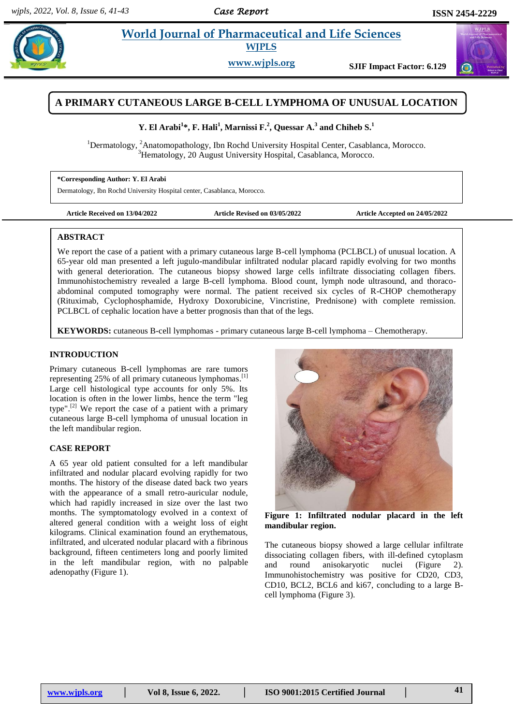# **Parabi** *are World Journal of Pharmaceutical and Life Sciences* **and** *Morld Journal of Pharmaceutical and Life Sciences*

**WJPLS**

**www.wjpls.org SJIF Impact Factor: 6.129**



# **A PRIMARY CUTANEOUS LARGE B-CELL LYMPHOMA OF UNUSUAL LOCATION**

## **Y.** El Arabi $^1*$ , F. Hali $^1$ , Marnissi F.<sup>2</sup>, Quessar A. $^3$  and Chiheb S. $^1$

<sup>1</sup>Dermatology, <sup>2</sup>Anatomopathology, Ibn Rochd University Hospital Center, Casablanca, Morocco. <sup>3</sup>Hematology, 20 August University Hospital, Casablanca, Morocco.

**\*Corresponding Author: Y. El Arabi** Dermatology, Ibn Rochd University Hospital center, Casablanca, Morocco.

**Article Received on 13/04/2022 Article Revised on 03/05/2022 Article Accepted on 24/05/2022**

#### **ABSTRACT**

We report the case of a patient with a primary cutaneous large B-cell lymphoma (PCLBCL) of unusual location. A 65-year old man presented a left jugulo-mandibular infiltrated nodular placard rapidly evolving for two months with general deterioration. The cutaneous biopsy showed large cells infiltrate dissociating collagen fibers. Immunohistochemistry revealed a large B-cell lymphoma. Blood count, lymph node ultrasound, and thoracoabdominal computed tomography were normal. The patient received six cycles of R-CHOP chemotherapy (Rituximab, Cyclophosphamide, Hydroxy Doxorubicine, Vincristine, Prednisone) with complete remission. PCLBCL of cephalic location have a better prognosis than that of the legs.

**KEYWORDS:** cutaneous B-cell lymphomas - primary cutaneous large B-cell lymphoma – Chemotherapy.

#### **INTRODUCTION**

Primary cutaneous B-cell lymphomas are rare tumors representing 25% of all primary cutaneous lymphomas.<sup>[1]</sup> Large cell histological type accounts for only 5%. Its location is often in the lower limbs, hence the term "leg type".<sup>[2]</sup> We report the case of a patient with a primary cutaneous large B-cell lymphoma of unusual location in the left mandibular region.

#### **CASE REPORT**

A 65 year old patient consulted for a left mandibular infiltrated and nodular placard evolving rapidly for two months. The history of the disease dated back two years with the appearance of a small retro-auricular nodule, which had rapidly increased in size over the last two months. The symptomatology evolved in a context of altered general condition with a weight loss of eight kilograms. Clinical examination found an erythematous, infiltrated, and ulcerated nodular placard with a fibrinous background, fifteen centimeters long and poorly limited in the left mandibular region, with no palpable adenopathy (Figure 1).



**Figure 1: Infiltrated nodular placard in the left mandibular region.**

The cutaneous biopsy showed a large cellular infiltrate dissociating collagen fibers, with ill-defined cytoplasm and round anisokaryotic nuclei (Figure 2). Immunohistochemistry was positive for CD20, CD3, CD10, BCL2, BCL6 and ki67, concluding to a large Bcell lymphoma (Figure 3).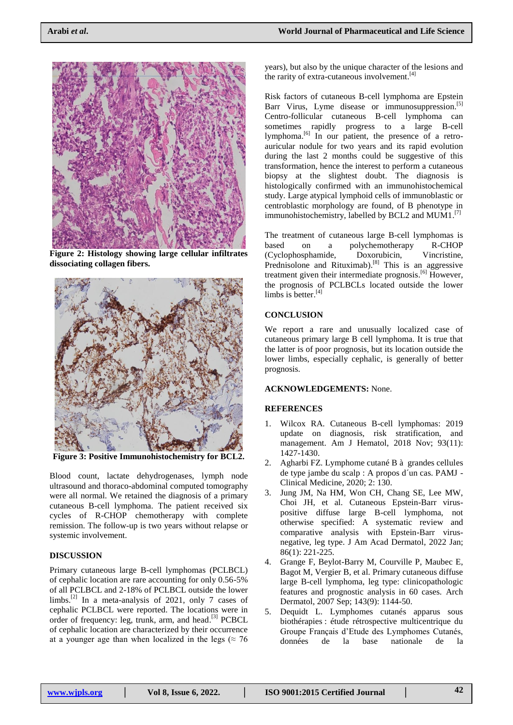

**Figure 2: Histology showing large cellular infiltrates dissociating collagen fibers.**



**Figure 3: Positive Immunohistochemistry for BCL2.**

Blood count, lactate dehydrogenases, lymph node ultrasound and thoraco-abdominal computed tomography were all normal. We retained the diagnosis of a primary cutaneous B-cell lymphoma. The patient received six cycles of R-CHOP chemotherapy with complete remission. The follow-up is two years without relapse or systemic involvement.

#### **DISCUSSION**

Primary cutaneous large B-cell lymphomas (PCLBCL) of cephalic location are rare accounting for only 0.56-5% of all PCLBCL and 2-18% of PCLBCL outside the lower limbs.<sup>[2]</sup> In a meta-analysis of 2021, only 7 cases of cephalic PCLBCL were reported. The locations were in order of frequency: leg, trunk, arm, and head.<sup>[3]</sup> PCBCL of cephalic location are characterized by their occurrence at a younger age than when localized in the legs ( $\approx$  76

years), but also by the unique character of the lesions and the rarity of extra-cutaneous involvement. [4]

Risk factors of cutaneous B-cell lymphoma are Epstein Barr Virus, Lyme disease or immunosuppression.<sup>[5]</sup> Centro-follicular cutaneous B-cell lymphoma can sometimes rapidly progress to a large B-cell lymphoma.<sup>[6]</sup> In our patient, the presence of a retroauricular nodule for two years and its rapid evolution during the last 2 months could be suggestive of this transformation, hence the interest to perform a cutaneous biopsy at the slightest doubt. The diagnosis is histologically confirmed with an immunohistochemical study. Large atypical lymphoid cells of immunoblastic or centroblastic morphology are found, of B phenotype in immunohistochemistry, labelled by BCL2 and MUM1.<sup>[7]</sup>

The treatment of cutaneous large B-cell lymphomas is based on a polychemotherapy R-CHOP (Cyclophosphamide, Doxorubicin, Vincristine, Prednisolone and Rituximab).<sup>[8]</sup> This is an aggressive treatment given their intermediate prognosis. [6] However, the prognosis of PCLBCLs located outside the lower limbs is better.<sup>[4]</sup>

### **CONCLUSION**

We report a rare and unusually localized case of cutaneous primary large B cell lymphoma. It is true that the latter is of poor prognosis, but its location outside the lower limbs, especially cephalic, is generally of better prognosis.

#### **ACKNOWLEDGEMENTS:** None.

#### **REFERENCES**

- 1. Wilcox RA. Cutaneous B-cell lymphomas: 2019 update on diagnosis, risk stratification, and management. Am J Hematol, 2018 Nov; 93(11): 1427-1430.
- 2. Agharbi FZ. Lymphome cutané B à grandes cellules de type jambe du scalp : A propos d´un cas. PAMJ - Clinical Medicine, 2020; 2: 130.
- 3. Jung JM, Na HM, Won CH, Chang SE, Lee MW, Choi JH, et al. Cutaneous Epstein-Barr viruspositive diffuse large B-cell lymphoma, not otherwise specified: A systematic review and comparative analysis with Epstein-Barr virusnegative, leg type. J Am Acad Dermatol, 2022 Jan; 86(1): 221-225.
- 4. Grange F, Beylot-Barry M, Courville P, Maubec E, Bagot M, Vergier B, et al. Primary cutaneous diffuse large B-cell lymphoma, leg type: clinicopathologic features and prognostic analysis in 60 cases. Arch Dermatol, 2007 Sep; 143(9): 1144-50.
- 5. Dequidt L. Lymphomes cutanés apparus sous biothérapies : étude rétrospective multicentrique du Groupe Français d'Etude des Lymphomes Cutanés, données de la base nationale de la